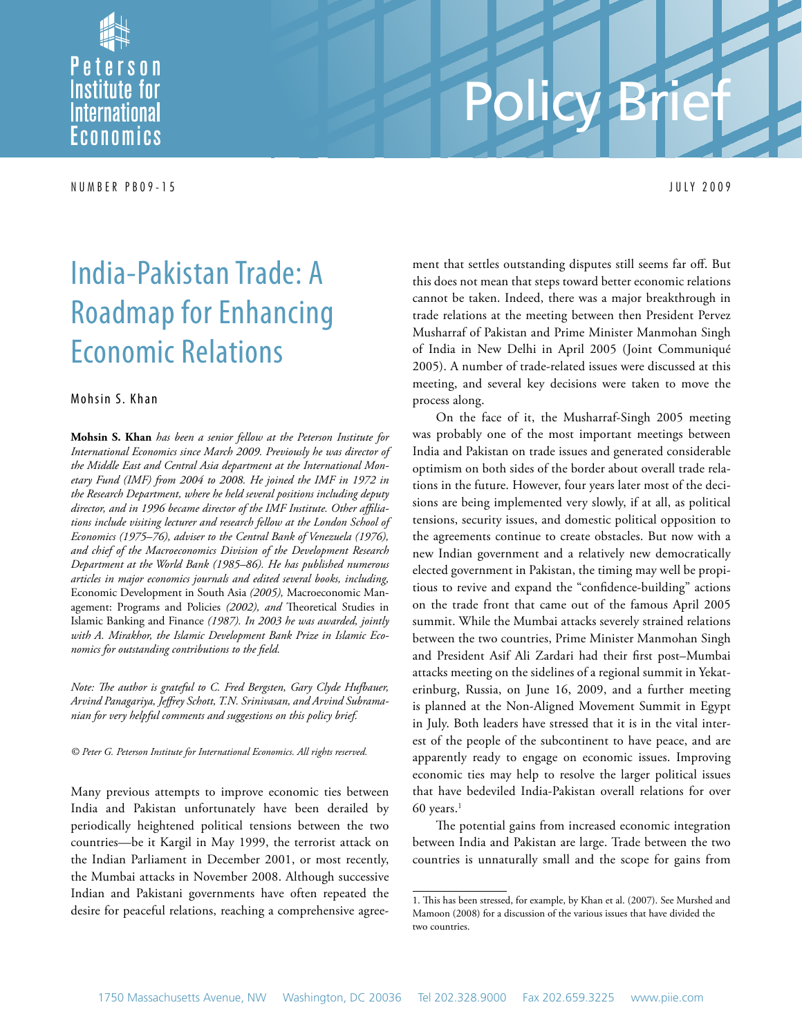Peterson **Institute for** *<u>International</u>* Economics

N U M B E R P B 0 9 - 1 5 J U L Y 2 0 0 9

# Policy Brief

## India-Pakistan Trade: A Roadmap for Enhancing Economic Relations

#### Mohsin S. Khan

**Mohsin S. Khan** *has been a senior fellow at the Peterson Institute for International Economics since March 2009. Previously he was director of the Middle East and Central Asia department at the International Monetary Fund (IMF) from 2004 to 2008. He joined the IMF in 1972 in the Research Department, where he held several positions including deputy director, and in 1996 became director of the IMF Institute. Other affiliations include visiting lecturer and research fellow at the London School of Economics (1975–76), adviser to the Central Bank of Venezuela (1976), and chief of the Macroeconomics Division of the Development Research Department at the World Bank (1985–86). He has published numerous articles in major economics journals and edited several books, including,*  Economic Development in South Asia *(2005),* Macroeconomic Management: Programs and Policies *(2002), and* Theoretical Studies in Islamic Banking and Finance *(1987). In 2003 he was awarded, jointly with A. Mirakhor, the Islamic Development Bank Prize in Islamic Economics for outstanding contributions to the field.*

*Note: The author is grateful to C. Fred Bergsten, Gary Clyde Hufbauer, Arvind Panagariya, Jeffrey Schott, T.N. Srinivasan, and Arvind Subramanian for very helpful comments and suggestions on this policy brief.*

*© Peter G. Peterson Institute for International Economics. All rights reserved.*

Many previous attempts to improve economic ties between India and Pakistan unfortunately have been derailed by periodically heightened political tensions between the two countries—be it Kargil in May 1999, the terrorist attack on the Indian Parliament in December 2001, or most recently, the Mumbai attacks in November 2008. Although successive Indian and Pakistani governments have often repeated the desire for peaceful relations, reaching a comprehensive agree-

ment that settles outstanding disputes still seems far off. But this does not mean that steps toward better economic relations cannot be taken. Indeed, there was a major breakthrough in trade relations at the meeting between then President Pervez Musharraf of Pakistan and Prime Minister Manmohan Singh of India in New Delhi in April 2005 (Joint Communiqué 2005). A number of trade-related issues were discussed at this meeting, and several key decisions were taken to move the process along.

On the face of it, the Musharraf-Singh 2005 meeting was probably one of the most important meetings between India and Pakistan on trade issues and generated considerable optimism on both sides of the border about overall trade relations in the future. However, four years later most of the decisions are being implemented very slowly, if at all, as political tensions, security issues, and domestic political opposition to the agreements continue to create obstacles. But now with a new Indian government and a relatively new democratically elected government in Pakistan, the timing may well be propitious to revive and expand the "confidence-building" actions on the trade front that came out of the famous April 2005 summit. While the Mumbai attacks severely strained relations between the two countries, Prime Minister Manmohan Singh and President Asif Ali Zardari had their first post–Mumbai attacks meeting on the sidelines of a regional summit in Yekaterinburg, Russia, on June 16, 2009, and a further meeting is planned at the Non-Aligned Movement Summit in Egypt in July. Both leaders have stressed that it is in the vital interest of the people of the subcontinent to have peace, and are apparently ready to engage on economic issues. Improving economic ties may help to resolve the larger political issues that have bedeviled India-Pakistan overall relations for over  $60$  years.<sup>1</sup>

The potential gains from increased economic integration between India and Pakistan are large. Trade between the two countries is unnaturally small and the scope for gains from

<sup>1.</sup> This has been stressed, for example, by Khan et al. (2007). See Murshed and Mamoon (2008) for a discussion of the various issues that have divided the two countries.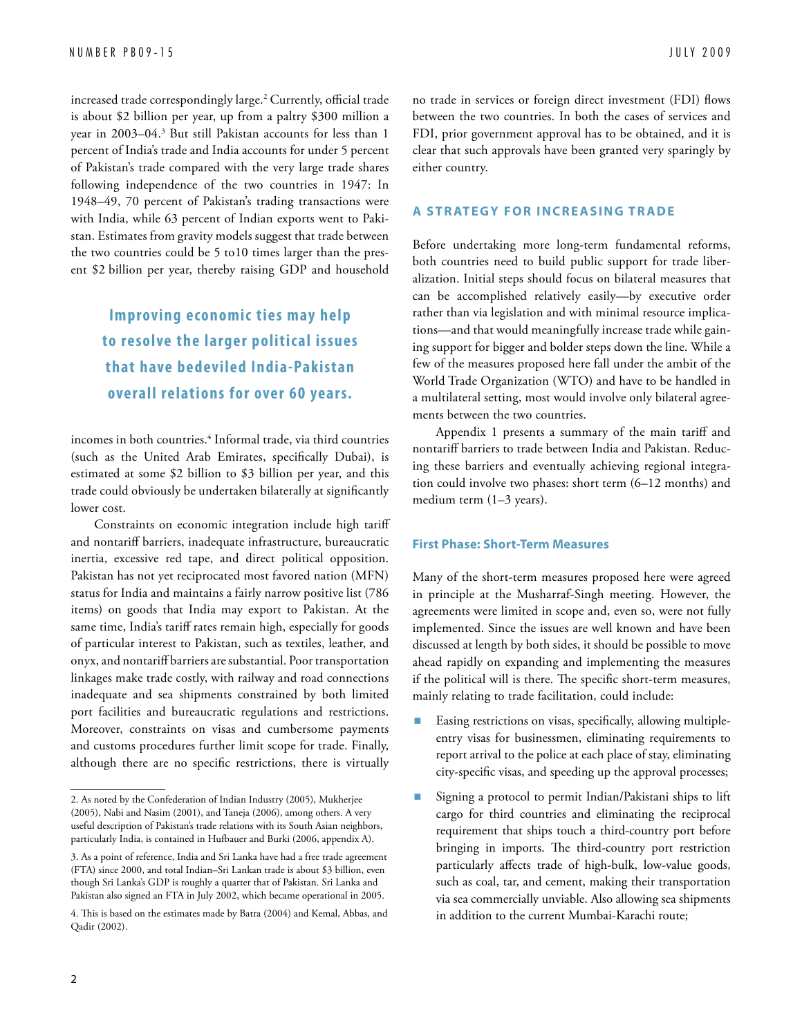increased trade correspondingly large.2 Currently, official trade is about \$2 billion per year, up from a paltry \$300 million a year in 2003–04.3 But still Pakistan accounts for less than 1 percent of India's trade and India accounts for under 5 percent of Pakistan's trade compared with the very large trade shares following independence of the two countries in 1947: In 1948–49, 70 percent of Pakistan's trading transactions were with India, while 63 percent of Indian exports went to Pakistan. Estimates from gravity models suggest that trade between the two countries could be 5 to10 times larger than the present \$2 billion per year, thereby raising GDP and household

### **Improving economic ties may help to resolve the larger politic al issues that have bedeviled India-Pakistan overall relations for over 60 years.**

incomes in both countries.4 Informal trade, via third countries (such as the United Arab Emirates, specifically Dubai), is estimated at some \$2 billion to \$3 billion per year, and this trade could obviously be undertaken bilaterally at significantly lower cost.

Constraints on economic integration include high tariff and nontariff barriers, inadequate infrastructure, bureaucratic inertia, excessive red tape, and direct political opposition. Pakistan has not yet reciprocated most favored nation (MFN) status for India and maintains a fairly narrow positive list (786 items) on goods that India may export to Pakistan. At the same time, India's tariff rates remain high, especially for goods of particular interest to Pakistan, such as textiles, leather, and onyx, and nontariff barriers are substantial. Poor transportation linkages make trade costly, with railway and road connections inadequate and sea shipments constrained by both limited port facilities and bureaucratic regulations and restrictions. Moreover, constraints on visas and cumbersome payments and customs procedures further limit scope for trade. Finally, although there are no specific restrictions, there is virtually

no trade in services or foreign direct investment (FDI) flows between the two countries. In both the cases of services and FDI, prior government approval has to be obtained, and it is clear that such approvals have been granted very sparingly by either country.

#### **A STRATEGY FOR INCREASING TRADE**

Before undertaking more long-term fundamental reforms, both countries need to build public support for trade liberalization. Initial steps should focus on bilateral measures that can be accomplished relatively easily—by executive order rather than via legislation and with minimal resource implications—and that would meaningfully increase trade while gaining support for bigger and bolder steps down the line. While a few of the measures proposed here fall under the ambit of the World Trade Organization (WTO) and have to be handled in a multilateral setting, most would involve only bilateral agreements between the two countries.

Appendix 1 presents a summary of the main tariff and nontariff barriers to trade between India and Pakistan. Reducing these barriers and eventually achieving regional integration could involve two phases: short term (6–12 months) and medium term (1–3 years).

#### **First Phase: Short-Term Measures**

Many of the short-term measures proposed here were agreed in principle at the Musharraf-Singh meeting. However, the agreements were limited in scope and, even so, were not fully implemented. Since the issues are well known and have been discussed at length by both sides, it should be possible to move ahead rapidly on expanding and implementing the measures if the political will is there. The specific short-term measures, mainly relating to trade facilitation, could include:

- Easing restrictions on visas, specifically, allowing multipleentry visas for businessmen, eliminating requirements to report arrival to the police at each place of stay, eliminating city-specific visas, and speeding up the approval processes;
- Signing a protocol to permit Indian/Pakistani ships to lift cargo for third countries and eliminating the reciprocal requirement that ships touch a third-country port before bringing in imports. The third-country port restriction particularly affects trade of high-bulk, low-value goods, such as coal, tar, and cement, making their transportation via sea commercially unviable. Also allowing sea shipments in addition to the current Mumbai-Karachi route;

<sup>2.</sup> As noted by the Confederation of Indian Industry (2005), Mukherjee (2005), Nabi and Nasim (2001), and Taneja (2006), among others. A very useful description of Pakistan's trade relations with its South Asian neighbors, particularly India, is contained in Hufbauer and Burki (2006, appendix A).

<sup>3.</sup> As a point of reference, India and Sri Lanka have had a free trade agreement (FTA) since 2000, and total Indian–Sri Lankan trade is about \$3 billion, even though Sri Lanka's GDP is roughly a quarter that of Pakistan. Sri Lanka and Pakistan also signed an FTA in July 2002, which became operational in 2005.

<sup>4.</sup> This is based on the estimates made by Batra (2004) and Kemal, Abbas, and Qadir (2002).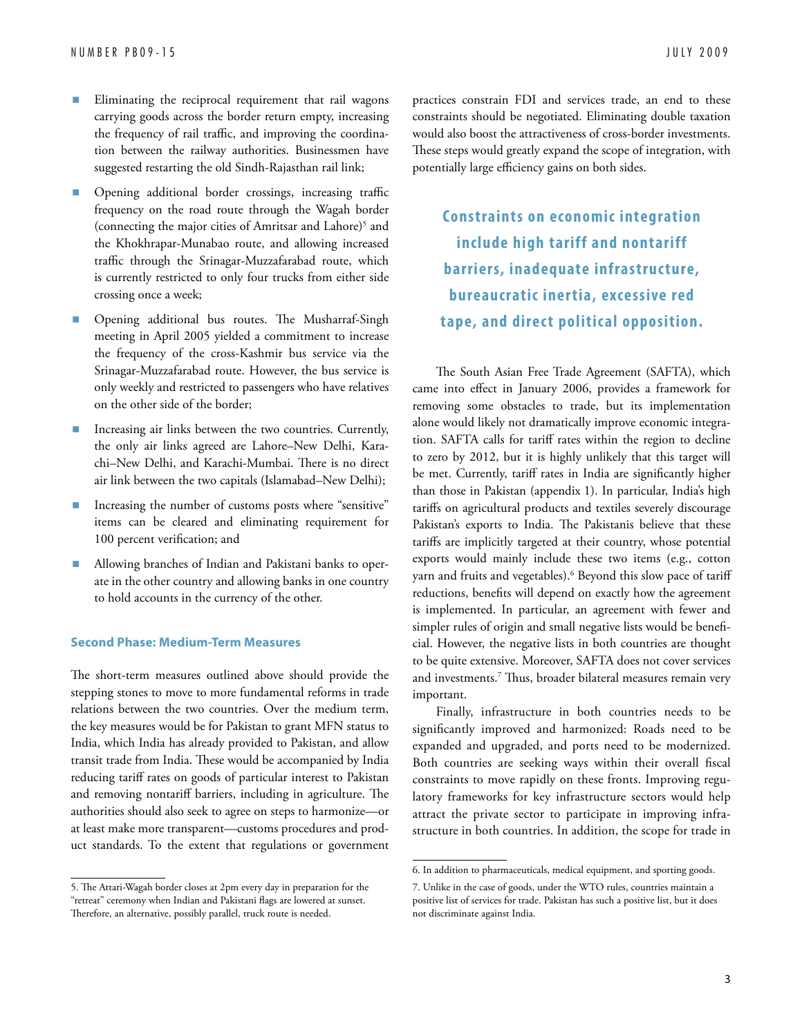- Eliminating the reciprocal requirement that rail wagons carrying goods across the border return empty, increasing the frequency of rail traffic, and improving the coordination between the railway authorities. Businessmen have suggested restarting the old Sindh-Rajasthan rail link;
- n Opening additional border crossings, increasing traffic frequency on the road route through the Wagah border (connecting the major cities of Amritsar and Lahore)<sup>5</sup> and the Khokhrapar-Munabao route, and allowing increased traffic through the Srinagar-Muzzafarabad route, which is currently restricted to only four trucks from either side crossing once a week;
- n Opening additional bus routes. The Musharraf-Singh meeting in April 2005 yielded a commitment to increase the frequency of the cross-Kashmir bus service via the Srinagar-Muzzafarabad route. However, the bus service is only weekly and restricted to passengers who have relatives on the other side of the border;
- Increasing air links between the two countries. Currently, the only air links agreed are Lahore–New Delhi, Karachi–New Delhi, and Karachi-Mumbai. There is no direct air link between the two capitals (Islamabad–New Delhi);
- Increasing the number of customs posts where "sensitive" items can be cleared and eliminating requirement for 100 percent verification; and
- n Allowing branches of Indian and Pakistani banks to operate in the other country and allowing banks in one country to hold accounts in the currency of the other.

#### **Second Phase: Medium-Term Measures**

The short-term measures outlined above should provide the stepping stones to move to more fundamental reforms in trade relations between the two countries. Over the medium term, the key measures would be for Pakistan to grant MFN status to India, which India has already provided to Pakistan, and allow transit trade from India. These would be accompanied by India reducing tariff rates on goods of particular interest to Pakistan and removing nontariff barriers, including in agriculture. The authorities should also seek to agree on steps to harmonize—or at least make more transparent—customs procedures and product standards. To the extent that regulations or government practices constrain FDI and services trade, an end to these constraints should be negotiated. Eliminating double taxation would also boost the attractiveness of cross-border investments. These steps would greatly expand the scope of integration, with potentially large efficiency gains on both sides.

**Constraints on economic integration include high tariff and nontariff barriers, inadequate infrastructure, bureaucratic iner tia, excessive red**  tape, and direct political opposition.

The South Asian Free Trade Agreement (SAFTA), which came into effect in January 2006, provides a framework for removing some obstacles to trade, but its implementation alone would likely not dramatically improve economic integration. SAFTA calls for tariff rates within the region to decline to zero by 2012, but it is highly unlikely that this target will be met. Currently, tariff rates in India are significantly higher than those in Pakistan (appendix 1). In particular, India's high tariffs on agricultural products and textiles severely discourage Pakistan's exports to India. The Pakistanis believe that these tariffs are implicitly targeted at their country, whose potential exports would mainly include these two items (e.g., cotton yarn and fruits and vegetables).6 Beyond this slow pace of tariff reductions, benefits will depend on exactly how the agreement is implemented. In particular, an agreement with fewer and simpler rules of origin and small negative lists would be beneficial. However, the negative lists in both countries are thought to be quite extensive. Moreover, SAFTA does not cover services and investments.7 Thus, broader bilateral measures remain very important.

Finally, infrastructure in both countries needs to be significantly improved and harmonized: Roads need to be expanded and upgraded, and ports need to be modernized. Both countries are seeking ways within their overall fiscal constraints to move rapidly on these fronts. Improving regulatory frameworks for key infrastructure sectors would help attract the private sector to participate in improving infrastructure in both countries. In addition, the scope for trade in

<sup>5.</sup> The Attari-Wagah border closes at 2pm every day in preparation for the "retreat" ceremony when Indian and Pakistani flags are lowered at sunset. Therefore, an alternative, possibly parallel, truck route is needed.

<sup>6.</sup> In addition to pharmaceuticals, medical equipment, and sporting goods.

<sup>7.</sup> Unlike in the case of goods, under the WTO rules, countries maintain a positive list of services for trade. Pakistan has such a positive list, but it does not discriminate against India.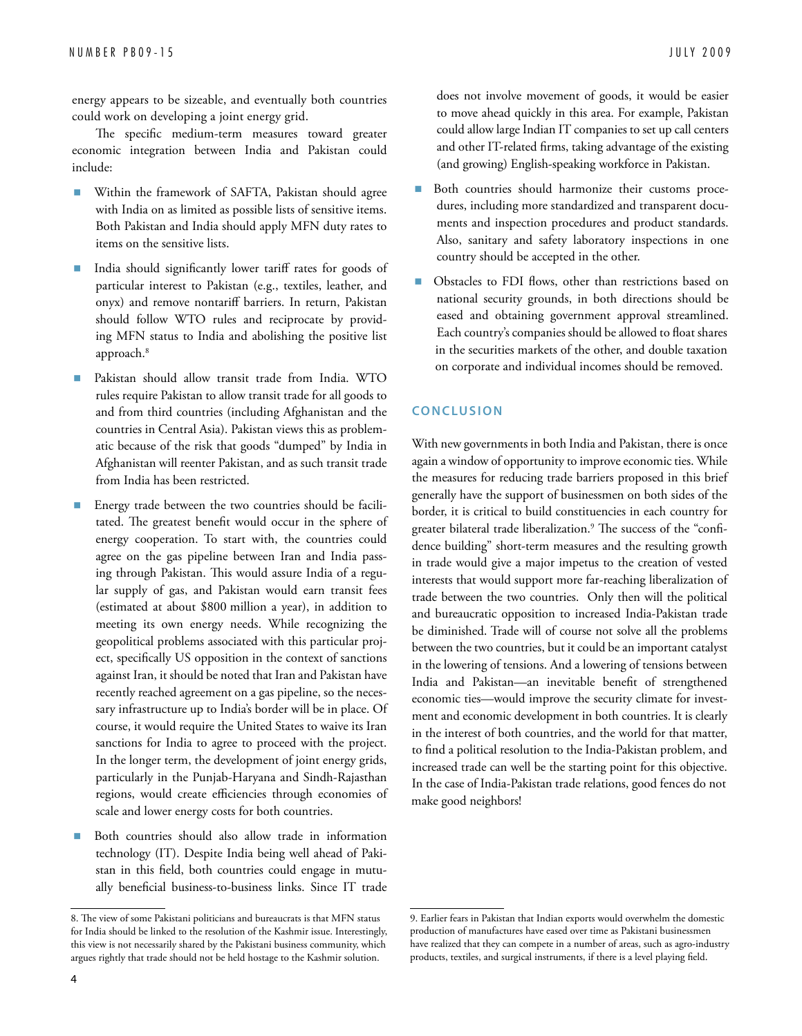energy appears to be sizeable, and eventually both countries could work on developing a joint energy grid.

The specific medium-term measures toward greater economic integration between India and Pakistan could include:

- Within the framework of SAFTA, Pakistan should agree with India on as limited as possible lists of sensitive items. Both Pakistan and India should apply MFN duty rates to items on the sensitive lists.
- n India should significantly lower tariff rates for goods of particular interest to Pakistan (e.g., textiles, leather, and onyx) and remove nontariff barriers. In return, Pakistan should follow WTO rules and reciprocate by providing MFN status to India and abolishing the positive list approach.<sup>8</sup>
- Pakistan should allow transit trade from India. WTO rules require Pakistan to allow transit trade for all goods to and from third countries (including Afghanistan and the countries in Central Asia). Pakistan views this as problematic because of the risk that goods "dumped" by India in Afghanistan will reenter Pakistan, and as such transit trade from India has been restricted.
- Energy trade between the two countries should be facilitated. The greatest benefit would occur in the sphere of energy cooperation. To start with, the countries could agree on the gas pipeline between Iran and India passing through Pakistan. This would assure India of a regular supply of gas, and Pakistan would earn transit fees (estimated at about \$800 million a year), in addition to meeting its own energy needs. While recognizing the geopolitical problems associated with this particular project, specifically US opposition in the context of sanctions against Iran, it should be noted that Iran and Pakistan have recently reached agreement on a gas pipeline, so the necessary infrastructure up to India's border will be in place. Of course, it would require the United States to waive its Iran sanctions for India to agree to proceed with the project. In the longer term, the development of joint energy grids, particularly in the Punjab-Haryana and Sindh-Rajasthan regions, would create efficiencies through economies of scale and lower energy costs for both countries.
- Both countries should also allow trade in information technology (IT). Despite India being well ahead of Pakistan in this field, both countries could engage in mutually beneficial business-to-business links. Since IT trade

does not involve movement of goods, it would be easier to move ahead quickly in this area. For example, Pakistan could allow large Indian IT companies to set up call centers and other IT-related firms, taking advantage of the existing (and growing) English-speaking workforce in Pakistan.

- Both countries should harmonize their customs procedures, including more standardized and transparent documents and inspection procedures and product standards. Also, sanitary and safety laboratory inspections in one country should be accepted in the other.
- n Obstacles to FDI flows, other than restrictions based on national security grounds, in both directions should be eased and obtaining government approval streamlined. Each country's companies should be allowed to float shares in the securities markets of the other, and double taxation on corporate and individual incomes should be removed.

#### **Conclu si on**

With new governments in both India and Pakistan, there is once again a window of opportunity to improve economic ties. While the measures for reducing trade barriers proposed in this brief generally have the support of businessmen on both sides of the border, it is critical to build constituencies in each country for greater bilateral trade liberalization.9 The success of the "confidence building" short-term measures and the resulting growth in trade would give a major impetus to the creation of vested interests that would support more far-reaching liberalization of trade between the two countries. Only then will the political and bureaucratic opposition to increased India-Pakistan trade be diminished. Trade will of course not solve all the problems between the two countries, but it could be an important catalyst in the lowering of tensions. And a lowering of tensions between India and Pakistan—an inevitable benefit of strengthened economic ties—would improve the security climate for investment and economic development in both countries. It is clearly in the interest of both countries, and the world for that matter, to find a political resolution to the India-Pakistan problem, and increased trade can well be the starting point for this objective. In the case of India-Pakistan trade relations, good fences do not make good neighbors!

<sup>8.</sup> The view of some Pakistani politicians and bureaucrats is that MFN status for India should be linked to the resolution of the Kashmir issue. Interestingly, this view is not necessarily shared by the Pakistani business community, which argues rightly that trade should not be held hostage to the Kashmir solution.

<sup>9.</sup> Earlier fears in Pakistan that Indian exports would overwhelm the domestic production of manufactures have eased over time as Pakistani businessmen have realized that they can compete in a number of areas, such as agro-industry products, textiles, and surgical instruments, if there is a level playing field.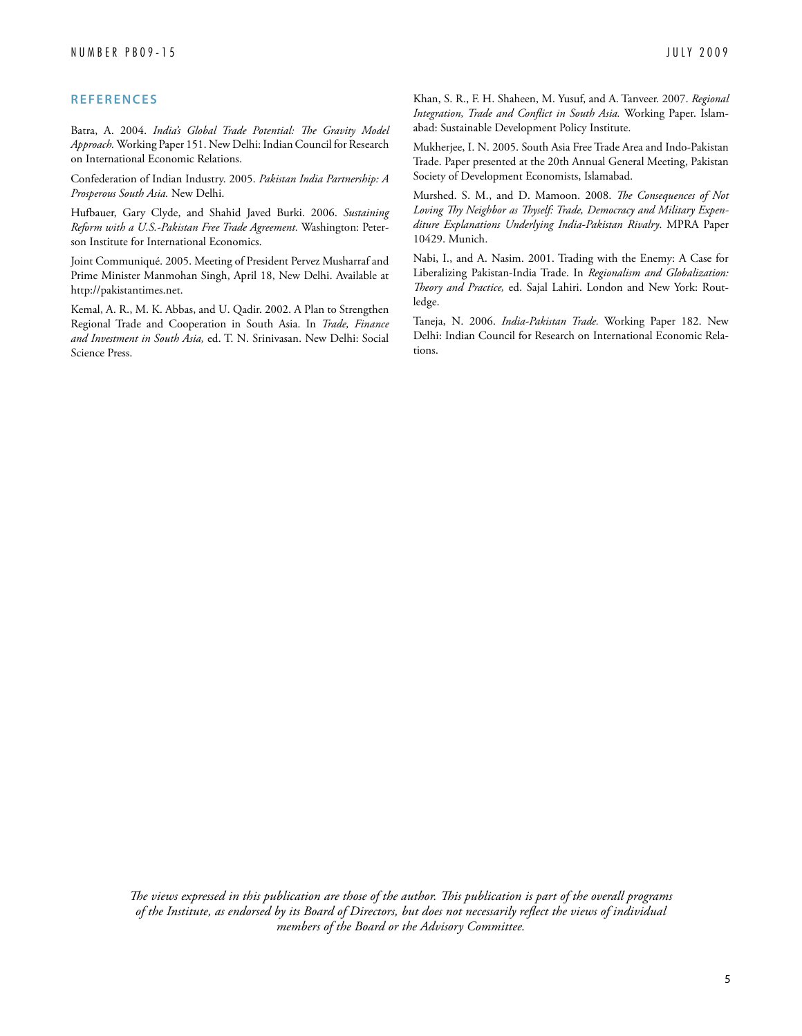#### **R e f erence s**

Batra, A. 2004. *India's Global Trade Potential: The Gravity Model Approach.* Working Paper 151. New Delhi: Indian Council for Research on International Economic Relations.

Confederation of Indian Industry. 2005. *Pakistan India Partnership: A Prosperous South Asia.* New Delhi.

Hufbauer, Gary Clyde, and Shahid Javed Burki. 2006. *Sustaining Reform with a U.S.-Pakistan Free Trade Agreement.* Washington: Peterson Institute for International Economics.

Joint Communiqué. 2005. Meeting of President Pervez Musharraf and Prime Minister Manmohan Singh, April 18, New Delhi. Available at http://pakistantimes.net.

Kemal, A. R., M. K. Abbas, and U. Qadir. 2002. A Plan to Strengthen Regional Trade and Cooperation in South Asia. In *Trade, Finance and Investment in South Asia,* ed. T. N. Srinivasan. New Delhi: Social Science Press.

Khan, S. R., F. H. Shaheen, M. Yusuf, and A. Tanveer. 2007. *Regional Integration, Trade and Conflict in South Asia.* Working Paper. Islamabad: Sustainable Development Policy Institute.

Mukherjee, I. N. 2005. South Asia Free Trade Area and Indo-Pakistan Trade. Paper presented at the 20th Annual General Meeting, Pakistan Society of Development Economists, Islamabad.

Murshed. S. M., and D. Mamoon. 2008. *The Consequences of Not Loving Thy Neighbor as Thyself: Trade, Democracy and Military Expenditure Explanations Underlying India-Pakistan Rivalry*. MPRA Paper 10429. Munich.

Nabi, I., and A. Nasim. 2001. Trading with the Enemy: A Case for Liberalizing Pakistan-India Trade. In *Regionalism and Globalization: Theory and Practice,* ed. Sajal Lahiri. London and New York: Routledge.

Taneja, N. 2006. *India-Pakistan Trade.* Working Paper 182. New Delhi: Indian Council for Research on International Economic Relations.

*The views expressed in this publication are those of the author. This publication is part of the overall programs of the Institute, as endorsed by its Board of Directors, but does not necessarily reflect the views of individual members of the Board or the Advisory Committee.*